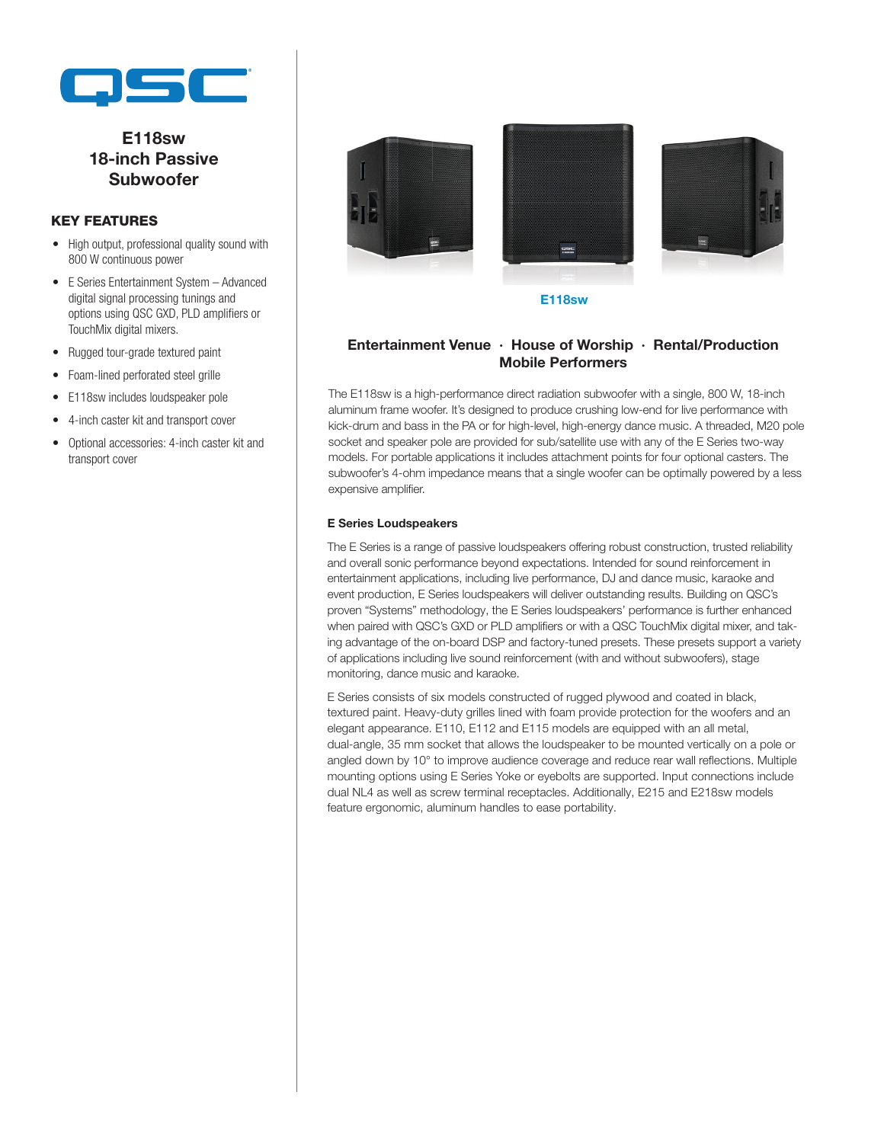

# E118sw 18-inch Passive Subwoofer

#### KEY FEATURES

- High output, professional quality sound with 800 W continuous power
- E Series Entertainment System Advanced digital signal processing tunings and options using QSC GXD, PLD amplifiers or TouchMix digital mixers.
- Rugged tour-grade textured paint
- Foam-lined perforated steel grille
- E118sw includes loudspeaker pole
- 4-inch caster kit and transport cover
- Optional accessories: 4-inch caster kit and transport cover



E118sw

### Entertainment Venue ∙ House of Worship ∙ Rental/Production Mobile Performers

The E118sw is a high-performance direct radiation subwoofer with a single, 800 W, 18-inch aluminum frame woofer. It's designed to produce crushing low-end for live performance with kick-drum and bass in the PA or for high-level, high-energy dance music. A threaded, M20 pole socket and speaker pole are provided for sub/satellite use with any of the E Series two-way models. For portable applications it includes attachment points for four optional casters. The subwoofer's 4-ohm impedance means that a single woofer can be optimally powered by a less expensive amplifier.

#### E Series Loudspeakers

The E Series is a range of passive loudspeakers offering robust construction, trusted reliability and overall sonic performance beyond expectations. Intended for sound reinforcement in entertainment applications, including live performance, DJ and dance music, karaoke and event production, E Series loudspeakers will deliver outstanding results. Building on QSC's proven "Systems" methodology, the E Series loudspeakers' performance is further enhanced when paired with QSC's GXD or PLD amplifiers or with a QSC TouchMix digital mixer, and taking advantage of the on-board DSP and factory-tuned presets. These presets support a variety of applications including live sound reinforcement (with and without subwoofers), stage monitoring, dance music and karaoke.

E Series consists of six models constructed of rugged plywood and coated in black, textured paint. Heavy-duty grilles lined with foam provide protection for the woofers and an elegant appearance. E110, E112 and E115 models are equipped with an all metal, dual-angle, 35 mm socket that allows the loudspeaker to be mounted vertically on a pole or angled down by 10° to improve audience coverage and reduce rear wall reflections. Multiple mounting options using E Series Yoke or eyebolts are supported. Input connections include dual NL4 as well as screw terminal receptacles. Additionally, E215 and E218sw models feature ergonomic, aluminum handles to ease portability.